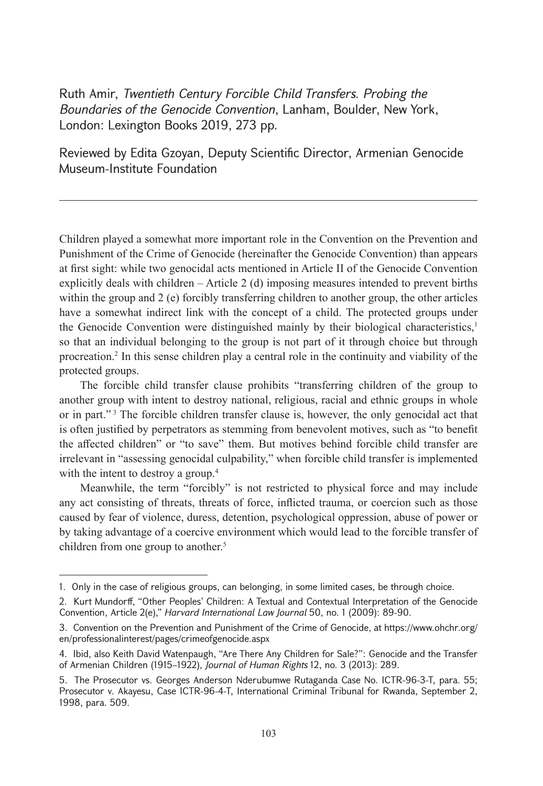Ruth Amir, *Twentieth Century Forcible Child Transfers. Probing the Boundaries of the Genocide Convention*, Lanham, Boulder, New York, London: Lexington Books 2019, 273 pp.

Reviewed by Edita Gzoyan, Deputy Scientific Director, Armenian Genocide Museum-Institute Foundation

Children played a somewhat more important role in the Convention on the Prevention and Punishment of the Crime of Genocide (hereinafter the Genocide Convention) than appears at first sight: while two genocidal acts mentioned in Article II of the Genocide Convention explicitly deals with children – Article 2 (d) imposing measures intended to prevent births within the group and 2 (e) forcibly transferring children to another group, the other articles have a somewhat indirect link with the concept of a child. The protected groups under the Genocide Convention were distinguished mainly by their biological characteristics,<sup>1</sup> so that an individual belonging to the group is not part of it through choice but through procreation.2 In this sense children play a central role in the continuity and viability of the protected groups.

The forcible child transfer clause prohibits "transferring children of the group to another group with intent to destroy national, religious, racial and ethnic groups in whole or in part."<sup>3</sup> The forcible children transfer clause is, however, the only genocidal act that is often justified by perpetrators as stemming from benevolent motives, such as "to benefit the affected children" or "to save" them. But motives behind forcible child transfer are irrelevant in "assessing genocidal culpability," when forcible child transfer is implemented with the intent to destroy a group.<sup>4</sup>

Meanwhile, the term "forcibly" is not restricted to physical force and may include any act consisting of threats, threats of force, inflicted trauma, or coercion such as those caused by fear of violence, duress, detention, psychological oppression, abuse of power or by taking advantage of a coercive environment which would lead to the forcible transfer of children from one group to another.<sup>5</sup>

<sup>1.</sup> Only in the case of religious groups, can belonging, in some limited cases, be through choice.

<sup>2.</sup> Kurt Mundorff, "Other Peoples' Children: A Textual and Contextual Interpretation of the Genocide Convention, Article 2(e)," *Harvard International Law Journal* 50, no. 1 (2009): 89-90.

<sup>3.</sup> Convention on the Prevention and Punishment of the Crime of Genocide, at [https://www.ohchr.org/](https://www.ohchr.org/en/professionalinterest/pages/crimeofgenocide.aspx) [en/professionalinterest/pages/crimeofgenocide.aspx](https://www.ohchr.org/en/professionalinterest/pages/crimeofgenocide.aspx)

<sup>4.</sup> Ibid, also Keith David Watenpaugh, "Are There Any Children for Sale?": Genocide and the Transfer of Armenian Children (1915–1922), *Journal of Human Rights* 12, no. 3 (2013): 289.

<sup>5.</sup> The Prosecutor vs. Georges Anderson Nderubumwe Rutaganda Case No. ICTR-96-3-T, para. 55; Prosecutor v. Akayesu, Case ICTR-96-4-T, International Criminal Tribunal for Rwanda, September 2, 1998, para. 509.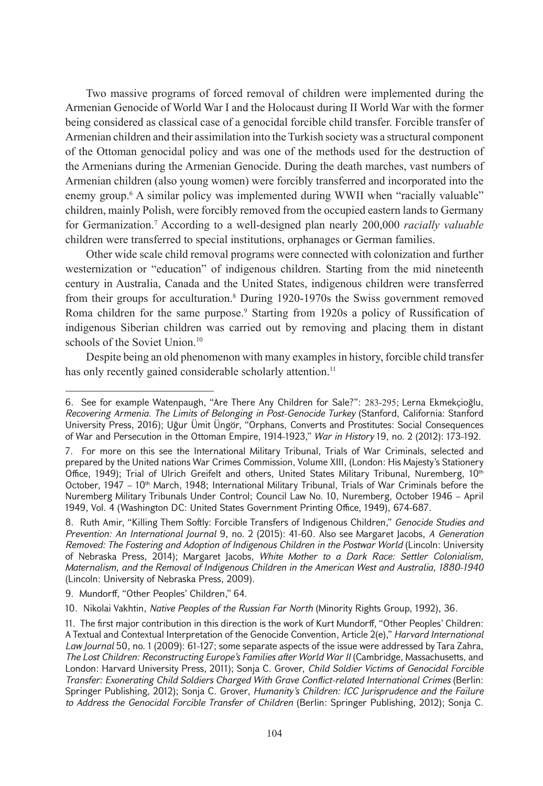Two massive programs of forced removal of children were implemented during the Armenian Genocide of World War I and the Holocaust during II World War with the former being considered as classical case of a genocidal forcible child transfer. Forcible transfer of Armenian children and their assimilation into the Turkish society was a structural component of the Ottoman genocidal policy and was one of the methods used for the destruction of the Armenians during the Armenian Genocide. During the death marches, vast numbers of Armenian children (also young women) were forcibly transferred and incorporated into the enemy group.<sup>6</sup> A similar policy was implemented during WWII when "racially valuable" children, mainly Polish, were forcibly removed from the occupied eastern lands to Germany for Germanization.7 According to a well-designed plan nearly 200,000 *racially valuable*  children were transferred to special institutions, orphanages or German families.

Other wide scale child removal programs were connected with colonization and further westernization or "education" of indigenous children. Starting from the mid nineteenth century in Australia, Canada and the United States, indigenous children were transferred from their groups for acculturation.<sup>8</sup> During 1920-1970s the Swiss government removed Roma children for the same purpose.<sup>9</sup> Starting from 1920s a policy of Russification of indigenous Siberian children was carried out by removing and placing them in distant schools of the Soviet Union.<sup>10</sup>

Despite being an old phenomenon with many examples in history, forcible child transfer has only recently gained considerable scholarly attention.<sup>11</sup>

10. Nikolai Vakhtin, *Native Peoples of the Russian Far North* (Minority Rights Group, 1992), 36.

<sup>6.</sup> See for example Watenpaugh, "Are There Any Children for Sale?": 283-295; [Lerna Ekmekçioğlu](http://history.mit.edu/people/lerna-ekmekcioglu), *Recovering Armenia. The Limits of Belonging in Post-Genocide Turkey* (Stanford, California: Stanford University Press, 2016); Uğur Ümit Üngör, "Orphans, Converts and Prostitutes: Social Consequences of War and Persecution in the Ottoman Empire, 1914-1923," *War in History* 19, no. 2 (2012): 173-192.

<sup>7.</sup> For more on this see the International Military Tribunal, Trials of War Criminals, selected and prepared by the United nations War Crimes Commission, Volume XIII, (London: His Majesty's Stationery Office, 1949); Trial of Ulrich Greifelt and others, United States Military Tribunal, Nuremberg,  $10<sup>th</sup>$ October, 1947 – 10<sup>th</sup> March, 1948; International Military Tribunal, Trials of War Criminals before the Nuremberg Military Tribunals Under Control; Council Law No. 10, Nuremberg, October 1946 – April 1949, Vol. 4 (Washington DC: United States Government Printing Office, 1949), 674-687.

<sup>8.</sup> Ruth Amir, "Killing Them Softly: Forcible Transfers of Indigenous Children," *Genocide Studies and Prevention: An International Journal* 9, no. 2 (2015): 41-60. Also see Margaret Jacobs, *A Generation Removed: The Fostering and Adoption of Indigenous Children in the Postwar World* (Lincoln: University of Nebraska Press, 2014); Margaret Jacobs, *White Mother to a Dark Race: Settler Colonialism, Maternalism, and the Removal of Indigenous Children in the American West and Australia, 1880-1940* (Lincoln: University of Nebraska Press, 2009).

<sup>9.</sup> Mundorff, "Other Peoples' Children," 64.

<sup>11.</sup> The first major contribution in this direction is the work of Kurt Mundorff, "Other Peoples' Children: A Textual and Contextual Interpretation of the Genocide Convention, Article 2(e)," *Harvard International Law Journal* 50, no. 1 (2009): 61-127; some separate aspects of the issue were addressed by Tara Zahra, *The Lost Children: Reconstructing Europe's Families after World War II* (Cambridge, Massachusetts, and London: Harvard University Press, 2011); [Sonja C. Grover,](https://www.google.am/search?hl=ru&tbo=p&tbm=bks&q=inauthor:%22Sonja+C.+Grover%22) *Child Soldier Victims of Genocidal Forcible Transfer: Exonerating Child Soldiers Charged With Grave Conflict-related International Crimes* (Berlin: Springer Publishing, 2012); [Sonja C. Grover](https://www.google.am/search?hl=ru&tbo=p&tbm=bks&q=inauthor:%22Sonja+C.+Grover%22), *Humanity's Children: ICC Jurisprudence and the Failure to Address the Genocidal Forcible Transfer of Children* (Berlin: Springer Publishing, 2012); [Sonja C.](https://www.google.am/search?hl=ru&tbo=p&tbm=bks&q=inauthor:%22Sonja+C.+Grover%22)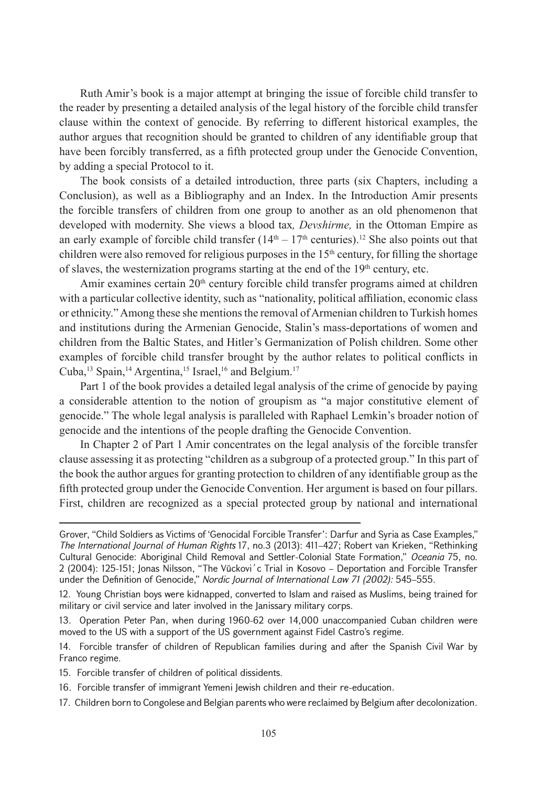Ruth Amir's book is a major attempt at bringing the issue of forcible child transfer to the reader by presenting a detailed analysis of the legal history of the forcible child transfer clause within the context of genocide. By referring to different historical examples, the author argues that recognition should be granted to children of any identifiable group that have been forcibly transferred, as a fifth protected group under the Genocide Convention, by adding a special Protocol to it.

The book consists of a detailed introduction, three parts (six Chapters, including a Conclusion), as well as a Bibliography and an Index. In the Introduction Amir presents the forcible transfers of children from one group to another as an old phenomenon that developed with modernity. She views a blood tax*, Devshirme,* in the Ottoman Empire as an early example of forcible child transfer  $(14<sup>th</sup> – 17<sup>th</sup>$  centuries).<sup>12</sup> She also points out that children were also removed for religious purposes in the 15<sup>th</sup> century, for filling the shortage of slaves, the westernization programs starting at the end of the 19<sup>th</sup> century, etc.

Amir examines certain  $20<sup>th</sup>$  century forcible child transfer programs aimed at children with a particular collective identity, such as "nationality, political affiliation, economic class or ethnicity." Among these she mentions the removal of Armenian children to Turkish homes and institutions during the Armenian Genocide, Stalin's mass-deportations of women and children from the Baltic States, and Hitler's Germanization of Polish children. Some other examples of forcible child transfer brought by the author relates to political conflicts in Cuba,<sup>13</sup> Spain,<sup>14</sup> Argentina,<sup>15</sup> Israel,<sup>16</sup> and Belgium.<sup>17</sup>

Part 1 of the book provides a detailed legal analysis of the crime of genocide by paying a considerable attention to the notion of groupism as "a major constitutive element of genocide." The whole legal analysis is paralleled with Raphael Lemkin's broader notion of genocide and the intentions of the people drafting the Genocide Convention.

In Chapter 2 of Part 1 Amir concentrates on the legal analysis of the forcible transfer clause assessing it as protecting "children as a subgroup of a protected group." In this part of the book the author argues for granting protection to children of any identifiable group as the fifth protected group under the Genocide Convention. Her argument is based on four pillars. First, children are recognized as a special protected group by national and international

17. Children born to Congolese and Belgian parents who were reclaimed by Belgium after decolonization.

[Grover](https://www.google.am/search?hl=ru&tbo=p&tbm=bks&q=inauthor:%22Sonja+C.+Grover%22), "Child Soldiers as Victims of 'Genocidal Forcible Transfer': Darfur and Syria as Case Examples," *The International Journal of Human Rights* 17, no.3 (2013): 411–427; Robert van Krieken, "Rethinking Cultural Genocide: Aboriginal Child Removal and Settler-Colonial State Formation," *Oceania* 75, no. 2 (2004): 125-151; Jonas Nilsson, "The Vŭckovi´c Trial in Kosovo – Deportation and Forcible Transfer under the Definition of Genocide," *Nordic Journal of International Law 71 (2002):* 545–555.

<sup>12.</sup> Young Christian boys were kidnapped, converted to Islam and raised as Muslims, being trained for military or civil service and later involved in the Janissary military corps.

<sup>13.</sup> Operation Peter Pan, when during 1960-62 over 14,000 unaccompanied Cuban children were moved to the US with a support of the US government against Fidel Castro's regime.

<sup>14.</sup> Forcible transfer of children of Republican families during and after the Spanish Civil War by Franco regime.

<sup>15.</sup> Forcible transfer of children of political dissidents.

<sup>16.</sup> Forcible transfer of immigrant Yemeni Jewish children and their re-education.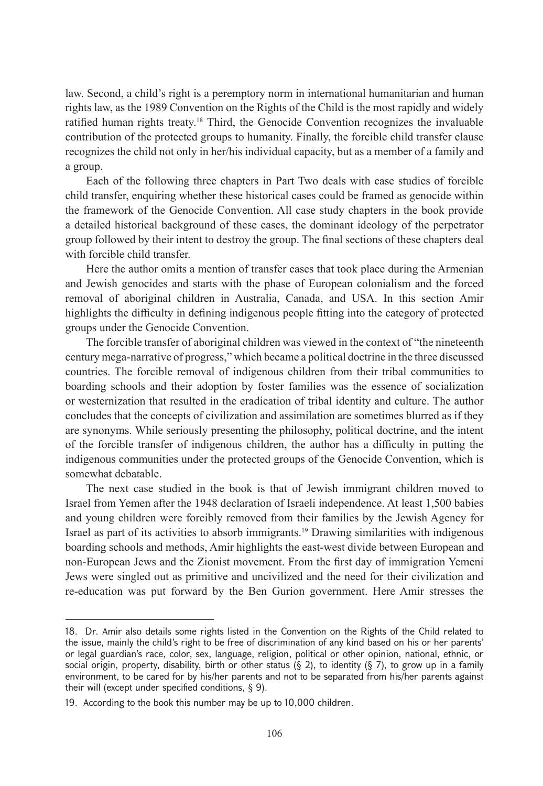law. Second, a child's right is a peremptory norm in international humanitarian and human rights law, as the 1989 Convention on the Rights of the Child is the most rapidly and widely ratified human rights treaty.<sup>18</sup> Third, the Genocide Convention recognizes the invaluable contribution of the protected groups to humanity. Finally, the forcible child transfer clause recognizes the child not only in her/his individual capacity, but as a member of a family and a group.

Each of the following three chapters in Part Two deals with case studies of forcible child transfer, enquiring whether these historical cases could be framed as genocide within the framework of the Genocide Convention. All case study chapters in the book provide a detailed historical background of these cases, the dominant ideology of the perpetrator group followed by their intent to destroy the group. The final sections of these chapters deal with forcible child transfer.

Here the author omits a mention of transfer cases that took place during the Armenian and Jewish genocides and starts with the phase of European colonialism and the forced removal of aboriginal children in Australia, Canada, and USA. In this section Amir highlights the difficulty in defining indigenous people fitting into the category of protected groups under the Genocide Convention.

The forcible transfer of aboriginal children was viewed in the context of "the nineteenth century mega-narrative of progress," which became a political doctrine in the three discussed countries. The forcible removal of indigenous children from their tribal communities to boarding schools and their adoption by foster families was the essence of socialization or westernization that resulted in the eradication of tribal identity and culture. The author concludes that the concepts of civilization and assimilation are sometimes blurred as if they are synonyms. While seriously presenting the philosophy, political doctrine, and the intent of the forcible transfer of indigenous children, the author has a difficulty in putting the indigenous communities under the protected groups of the Genocide Convention, which is somewhat debatable.

The next case studied in the book is that of Jewish immigrant children moved to Israel from Yemen after the 1948 declaration of Israeli independence. At least 1,500 babies and young children were forcibly removed from their families by the Jewish Agency for Israel as part of its activities to absorb immigrants.19 Drawing similarities with indigenous boarding schools and methods, Amir highlights the east-west divide between European and non-European Jews and the Zionist movement. From the first day of immigration Yemeni Jews were singled out as primitive and uncivilized and the need for their civilization and re-education was put forward by the Ben Gurion government. Here Amir stresses the

<sup>18.</sup> Dr. Amir also details some rights listed in the Convention on the Rights of the Child related to the issue, mainly the child's right to be free of discrimination of any kind based on his or her parents' or legal guardian's race, color, sex, language, religion, political or other opinion, national, ethnic, or social origin, property, disability, birth or other status  $(\S 2)$ , to identity  $(\S 7)$ , to grow up in a family environment, to be cared for by his/her parents and not to be separated from his/her parents against their will (except under specified conditions, § 9).

<sup>19.</sup> According to the book this number may be up to 10,000 children.